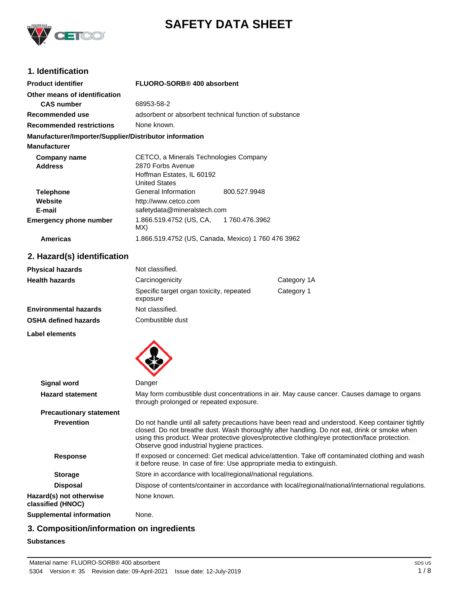

# **SAFETY DATA SHEET**

## **1. Identification**

| <b>Product identifier</b>                              | FLUORO-SORB® 400 absorbent             |                                                        |
|--------------------------------------------------------|----------------------------------------|--------------------------------------------------------|
| Other means of identification                          |                                        |                                                        |
| <b>CAS</b> number                                      | 68953-58-2                             |                                                        |
| Recommended use                                        |                                        | adsorbent or absorbent technical function of substance |
| <b>Recommended restrictions</b>                        | None known.                            |                                                        |
| Manufacturer/Importer/Supplier/Distributor information |                                        |                                                        |
| <b>Manufacturer</b>                                    |                                        |                                                        |
| Company name                                           | CETCO, a Minerals Technologies Company |                                                        |
| <b>Address</b>                                         | 2870 Forbs Avenue                      |                                                        |
|                                                        | Hoffman Estates, IL 60192              |                                                        |
|                                                        | <b>United States</b>                   |                                                        |
| <b>Telephone</b>                                       | General Information                    | 800.527.9948                                           |
| Website                                                | http://www.cetco.com                   |                                                        |
| E-mail                                                 | safetydata@mineralstech.com            |                                                        |
| <b>Emergency phone number</b>                          | 1.866.519.4752 (US, CA,<br>MX)         | 1760.476.3962                                          |
| <b>Americas</b>                                        |                                        | 1.866.519.4752 (US, Canada, Mexico) 1 760 476 3962     |

## **2. Hazard(s) identification**

| Not classified.                                      |             |
|------------------------------------------------------|-------------|
| Carcinogenicity                                      | Category 1A |
| Specific target organ toxicity, repeated<br>exposure | Category 1  |
| Not classified.                                      |             |
| Combustible dust                                     |             |
|                                                      |             |

**Label elements**



| <b>Signal word</b>                           | Danger                                                                                                                                                                                                                                                                                                                                           |
|----------------------------------------------|--------------------------------------------------------------------------------------------------------------------------------------------------------------------------------------------------------------------------------------------------------------------------------------------------------------------------------------------------|
| <b>Hazard statement</b>                      | May form combustible dust concentrations in air. May cause cancer. Causes damage to organs<br>through prolonged or repeated exposure.                                                                                                                                                                                                            |
| <b>Precautionary statement</b>               |                                                                                                                                                                                                                                                                                                                                                  |
| <b>Prevention</b>                            | Do not handle until all safety precautions have been read and understood. Keep container tightly<br>closed. Do not breathe dust. Wash thoroughly after handling. Do not eat, drink or smoke when<br>using this product. Wear protective gloves/protective clothing/eye protection/face protection.<br>Observe good industrial hygiene practices. |
| <b>Response</b>                              | If exposed or concerned: Get medical advice/attention. Take off contaminated clothing and wash<br>it before reuse. In case of fire: Use appropriate media to extinguish.                                                                                                                                                                         |
| <b>Storage</b>                               | Store in accordance with local/regional/national regulations.                                                                                                                                                                                                                                                                                    |
| <b>Disposal</b>                              | Dispose of contents/container in accordance with local/regional/national/international regulations.                                                                                                                                                                                                                                              |
| Hazard(s) not otherwise<br>classified (HNOC) | None known.                                                                                                                                                                                                                                                                                                                                      |
| <b>Supplemental information</b>              | None.                                                                                                                                                                                                                                                                                                                                            |

## **3. Composition/information on ingredients**

**Substances**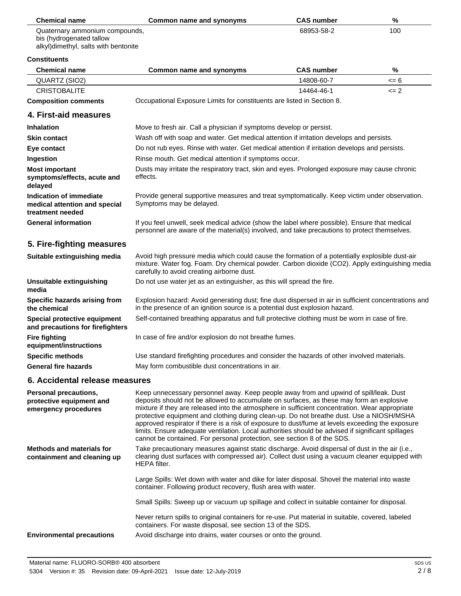| <b>Chemical name</b>           | Common name and synonyms | <b>CAS number</b> | %   |
|--------------------------------|--------------------------|-------------------|-----|
| Quaternary ammonium compounds, |                          | 68953-58-2        | 100 |
| bis (hydrogenated tallow       |                          |                   |     |

alkyl)dimethyl, salts with bentonite

#### **Constituents**

 $\overline{\phantom{0}}$ 

| <b>Constituents</b>                                                          |                                                                                                                                                                                                                                                |                   |       |
|------------------------------------------------------------------------------|------------------------------------------------------------------------------------------------------------------------------------------------------------------------------------------------------------------------------------------------|-------------------|-------|
| <b>Chemical name</b>                                                         | <b>Common name and synonyms</b>                                                                                                                                                                                                                | <b>CAS number</b> | %     |
| QUARTZ (SIO2)                                                                |                                                                                                                                                                                                                                                | 14808-60-7        | $= 6$ |
| <b>CRISTOBALITE</b>                                                          |                                                                                                                                                                                                                                                | 14464-46-1        | $= 2$ |
| <b>Composition comments</b>                                                  | Occupational Exposure Limits for constituents are listed in Section 8.                                                                                                                                                                         |                   |       |
| 4. First-aid measures                                                        |                                                                                                                                                                                                                                                |                   |       |
| <b>Inhalation</b>                                                            | Move to fresh air. Call a physician if symptoms develop or persist.                                                                                                                                                                            |                   |       |
| <b>Skin contact</b>                                                          | Wash off with soap and water. Get medical attention if irritation develops and persists.                                                                                                                                                       |                   |       |
| Eye contact                                                                  | Do not rub eyes. Rinse with water. Get medical attention if irritation develops and persists.                                                                                                                                                  |                   |       |
| Ingestion                                                                    | Rinse mouth. Get medical attention if symptoms occur.                                                                                                                                                                                          |                   |       |
| <b>Most important</b><br>symptoms/effects, acute and<br>delayed              | Dusts may irritate the respiratory tract, skin and eyes. Prolonged exposure may cause chronic<br>effects.                                                                                                                                      |                   |       |
| Indication of immediate<br>medical attention and special<br>treatment needed | Provide general supportive measures and treat symptomatically. Keep victim under observation.<br>Symptoms may be delayed.                                                                                                                      |                   |       |
| <b>General information</b>                                                   | If you feel unwell, seek medical advice (show the label where possible). Ensure that medical<br>personnel are aware of the material(s) involved, and take precautions to protect themselves.                                                   |                   |       |
| 5. Fire-fighting measures                                                    |                                                                                                                                                                                                                                                |                   |       |
| Suitable extinguishing media                                                 | Avoid high pressure media which could cause the formation of a potentially explosible dust-air<br>mixture. Water fog. Foam. Dry chemical powder. Carbon dioxide (CO2). Apply extinguishing media<br>carefully to avoid creating airborne dust. |                   |       |
| Unsuitable extinguishing<br>media                                            | Do not use water jet as an extinguisher, as this will spread the fire.                                                                                                                                                                         |                   |       |
| Specific hazards arising from<br>the chemical                                | Explosion hazard: Avoid generating dust; fine dust dispersed in air in sufficient concentrations and<br>in the presence of an ignition source is a potential dust explosion hazard.                                                            |                   |       |
| Special protective equipment<br>and precautions for firefighters             | Self-contained breathing apparatus and full protective clothing must be worn in case of fire.                                                                                                                                                  |                   |       |
| <b>Fire fighting</b><br>equipment/instructions                               | In case of fire and/or explosion do not breathe fumes.                                                                                                                                                                                         |                   |       |
| <b>Specific methods</b>                                                      | Use standard firefighting procedures and consider the hazards of other involved materials.                                                                                                                                                     |                   |       |
| <b>General fire hazards</b>                                                  | May form combustible dust concentrations in air.                                                                                                                                                                                               |                   |       |
| 6. Accidental release measures                                               |                                                                                                                                                                                                                                                |                   |       |
|                                                                              |                                                                                                                                                                                                                                                |                   |       |

| Take precautionary measures against static discharge. Avoid dispersal of dust in the air (i.e.,<br><b>Methods and materials for</b><br>containment and cleaning up<br>HEPA filter.<br>Large Spills: Wet down with water and dike for later disposal. Shovel the material into waste<br>container. Following product recovery, flush area with water.<br>Small Spills: Sweep up or vacuum up spillage and collect in suitable container for disposal.<br>Never return spills to original containers for re-use. Put material in suitable, covered, labeled<br>containers. For waste disposal, see section 13 of the SDS.<br>Avoid discharge into drains, water courses or onto the ground.<br><b>Environmental precautions</b> | Personal precautions,<br>protective equipment and<br>emergency procedures | Keep unnecessary personnel away. Keep people away from and upwind of spill/leak. Dust<br>deposits should not be allowed to accumulate on surfaces, as these may form an explosive<br>mixture if they are released into the atmosphere in sufficient concentration. Wear appropriate<br>protective equipment and clothing during clean-up. Do not breathe dust. Use a NIOSH/MSHA<br>approved respirator if there is a risk of exposure to dust/fume at levels exceeding the exposure<br>limits. Ensure adequate ventilation. Local authorities should be advised if significant spillages<br>cannot be contained. For personal protection, see section 8 of the SDS. |
|-------------------------------------------------------------------------------------------------------------------------------------------------------------------------------------------------------------------------------------------------------------------------------------------------------------------------------------------------------------------------------------------------------------------------------------------------------------------------------------------------------------------------------------------------------------------------------------------------------------------------------------------------------------------------------------------------------------------------------|---------------------------------------------------------------------------|---------------------------------------------------------------------------------------------------------------------------------------------------------------------------------------------------------------------------------------------------------------------------------------------------------------------------------------------------------------------------------------------------------------------------------------------------------------------------------------------------------------------------------------------------------------------------------------------------------------------------------------------------------------------|
|                                                                                                                                                                                                                                                                                                                                                                                                                                                                                                                                                                                                                                                                                                                               |                                                                           | clearing dust surfaces with compressed air). Collect dust using a vacuum cleaner equipped with                                                                                                                                                                                                                                                                                                                                                                                                                                                                                                                                                                      |
|                                                                                                                                                                                                                                                                                                                                                                                                                                                                                                                                                                                                                                                                                                                               |                                                                           |                                                                                                                                                                                                                                                                                                                                                                                                                                                                                                                                                                                                                                                                     |
|                                                                                                                                                                                                                                                                                                                                                                                                                                                                                                                                                                                                                                                                                                                               |                                                                           |                                                                                                                                                                                                                                                                                                                                                                                                                                                                                                                                                                                                                                                                     |
|                                                                                                                                                                                                                                                                                                                                                                                                                                                                                                                                                                                                                                                                                                                               |                                                                           |                                                                                                                                                                                                                                                                                                                                                                                                                                                                                                                                                                                                                                                                     |
|                                                                                                                                                                                                                                                                                                                                                                                                                                                                                                                                                                                                                                                                                                                               |                                                                           |                                                                                                                                                                                                                                                                                                                                                                                                                                                                                                                                                                                                                                                                     |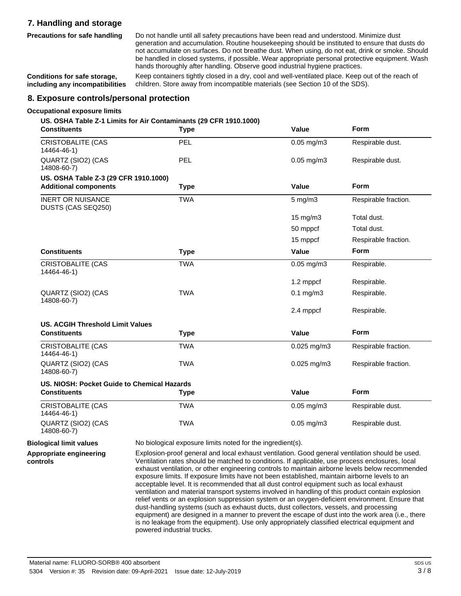## **7. Handling and storage**

**Precautions for safe handling**

Do not handle until all safety precautions have been read and understood. Minimize dust generation and accumulation. Routine housekeeping should be instituted to ensure that dusts do not accumulate on surfaces. Do not breathe dust. When using, do not eat, drink or smoke. Should be handled in closed systems, if possible. Wear appropriate personal protective equipment. Wash hands thoroughly after handling. Observe good industrial hygiene practices.

**Conditions for safe storage, including any incompatibilities** Keep containers tightly closed in a dry, cool and well-ventilated place. Keep out of the reach of children. Store away from incompatible materials (see Section 10 of the SDS).

#### **8. Exposure controls/personal protection**

#### **Occupational exposure limits**

#### **US. OSHA Table Z-1 Limits for Air Contaminants (29 CFR 1910.1000)**

| <b>Constituents</b>                            | <b>Type</b> | Value                   | <b>Form</b>          |
|------------------------------------------------|-------------|-------------------------|----------------------|
| <b>CRISTOBALITE (CAS</b><br>14464-46-1)        | PEL         | $0.05$ mg/m $3$         | Respirable dust.     |
| QUARTZ (SIO2) (CAS<br>14808-60-7)              | <b>PEL</b>  | $0.05$ mg/m $3$         | Respirable dust.     |
| US. OSHA Table Z-3 (29 CFR 1910.1000)          |             |                         |                      |
| <b>Additional components</b>                   | <b>Type</b> | Value                   | Form                 |
| <b>INERT OR NUISANCE</b><br>DUSTS (CAS SEQ250) | <b>TWA</b>  | $5$ mg/m $3$            | Respirable fraction. |
|                                                |             | 15 mg/m3                | Total dust.          |
|                                                |             | 50 mppcf                | Total dust.          |
|                                                |             | 15 mppcf                | Respirable fraction. |
| <b>Constituents</b>                            | <b>Type</b> | Value                   | <b>Form</b>          |
| <b>CRISTOBALITE (CAS</b><br>14464-46-1)        | <b>TWA</b>  | $0.05$ mg/m $3$         | Respirable.          |
|                                                |             | 1.2 mppcf               | Respirable.          |
| QUARTZ (SIO2) (CAS<br>14808-60-7)              | <b>TWA</b>  | $0.1$ mg/m $3$          | Respirable.          |
|                                                |             | 2.4 mppcf               | Respirable.          |
| <b>US. ACGIH Threshold Limit Values</b>        |             |                         |                      |
| <b>Constituents</b>                            | <b>Type</b> | Value                   | <b>Form</b>          |
| <b>CRISTOBALITE (CAS</b><br>14464-46-1)        | <b>TWA</b>  | $0.025$ mg/m3           | Respirable fraction. |
| QUARTZ (SIO2) (CAS<br>14808-60-7)              | <b>TWA</b>  | 0.025 mg/m3             | Respirable fraction. |
| US. NIOSH: Pocket Guide to Chemical Hazards    |             |                         |                      |
| <b>Constituents</b>                            | Type        | Value                   | Form                 |
| <b>CRISTOBALITE (CAS</b><br>14464-46-1)        | <b>TWA</b>  | $0.05 \,\mathrm{mg/m3}$ | Respirable dust.     |
| QUARTZ (SIO2) (CAS<br>14808-60-7)              | <b>TWA</b>  | $0.05$ mg/m $3$         | Respirable dust.     |

**Biological limit values** No biological exposure limits noted for the ingredient(s).

**Appropriate engineering controls**

Explosion-proof general and local exhaust ventilation. Good general ventilation should be used. Ventilation rates should be matched to conditions. If applicable, use process enclosures, local exhaust ventilation, or other engineering controls to maintain airborne levels below recommended exposure limits. If exposure limits have not been established, maintain airborne levels to an acceptable level. It is recommended that all dust control equipment such as local exhaust ventilation and material transport systems involved in handling of this product contain explosion relief vents or an explosion suppression system or an oxygen-deficient environment. Ensure that dust-handling systems (such as exhaust ducts, dust collectors, vessels, and processing equipment) are designed in a manner to prevent the escape of dust into the work area (i.e., there is no leakage from the equipment). Use only appropriately classified electrical equipment and powered industrial trucks.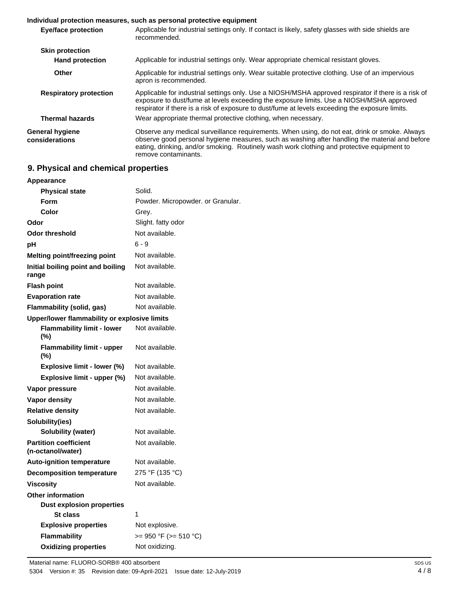#### **Individual protection measures, such as personal protective equipment**

| <b>Eye/face protection</b>        | Applicable for industrial settings only. If contact is likely, safety glasses with side shields are<br>recommended.                                                                                                                                                                                                   |
|-----------------------------------|-----------------------------------------------------------------------------------------------------------------------------------------------------------------------------------------------------------------------------------------------------------------------------------------------------------------------|
| <b>Skin protection</b>            |                                                                                                                                                                                                                                                                                                                       |
| <b>Hand protection</b>            | Applicable for industrial settings only. Wear appropriate chemical resistant gloves.                                                                                                                                                                                                                                  |
| Other                             | Applicable for industrial settings only. Wear suitable protective clothing. Use of an impervious<br>apron is recommended.                                                                                                                                                                                             |
| <b>Respiratory protection</b>     | Applicable for industrial settings only. Use a NIOSH/MSHA approved respirator if there is a risk of<br>exposure to dust/fume at levels exceeding the exposure limits. Use a NIOSH/MSHA approved<br>respirator if there is a risk of exposure to dust/fume at levels exceeding the exposure limits.                    |
| <b>Thermal hazards</b>            | Wear appropriate thermal protective clothing, when necessary.                                                                                                                                                                                                                                                         |
| General hygiene<br>considerations | Observe any medical surveillance requirements. When using, do not eat, drink or smoke. Always<br>observe good personal hygiene measures, such as washing after handling the material and before<br>eating, drinking, and/or smoking. Routinely wash work clothing and protective equipment to<br>remove contaminants. |

## **9. Physical and chemical properties**

| Appearance                                        |                                   |
|---------------------------------------------------|-----------------------------------|
| <b>Physical state</b>                             | Solid.                            |
| Form                                              | Powder. Micropowder. or Granular. |
| Color                                             | Grey.                             |
| Odor                                              | Slight. fatty odor                |
| <b>Odor threshold</b>                             | Not available.                    |
| рH                                                | $6 - 9$                           |
| Melting point/freezing point                      | Not available.                    |
| Initial boiling point and boiling<br>range        | Not available.                    |
| <b>Flash point</b>                                | Not available.                    |
| <b>Evaporation rate</b>                           | Not available.                    |
| Flammability (solid, gas)                         | Not available.                    |
| Upper/lower flammability or explosive limits      |                                   |
| <b>Flammability limit - lower</b><br>(%)          | Not available.                    |
| <b>Flammability limit - upper</b><br>$(\%)$       | Not available.                    |
| Explosive limit - lower (%)                       | Not available.                    |
| Explosive limit - upper (%)                       | Not available.                    |
| Vapor pressure                                    | Not available.                    |
| Vapor density                                     | Not available.                    |
| <b>Relative density</b>                           | Not available.                    |
| Solubility(ies)                                   |                                   |
| Solubility (water)                                | Not available.                    |
| <b>Partition coefficient</b><br>(n-octanol/water) | Not available.                    |
| <b>Auto-ignition temperature</b>                  | Not available.                    |
| <b>Decomposition temperature</b>                  | 275 °F (135 °C)                   |
| <b>Viscosity</b>                                  | Not available.                    |
| Other information                                 |                                   |
| <b>Dust explosion properties</b>                  |                                   |
| St class                                          | 1                                 |
| <b>Explosive properties</b>                       | Not explosive.                    |
| <b>Flammability</b>                               | $>= 950 °F (= 510 °C)$            |
| <b>Oxidizing properties</b>                       | Not oxidizing.                    |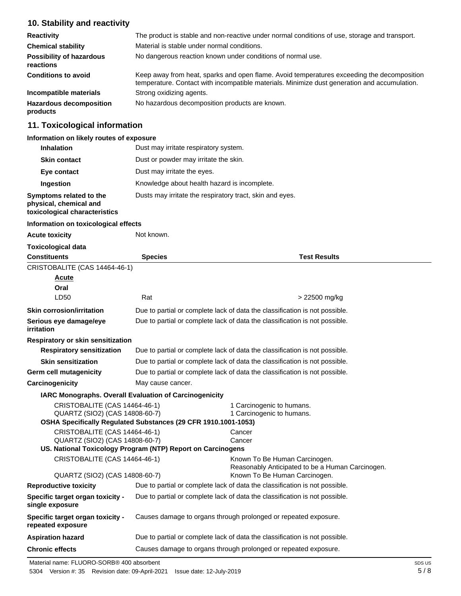## **10. Stability and reactivity**

| <b>Reactivity</b>                            | The product is stable and non-reactive under normal conditions of use, storage and transport.                                                                                              |
|----------------------------------------------|--------------------------------------------------------------------------------------------------------------------------------------------------------------------------------------------|
| <b>Chemical stability</b>                    | Material is stable under normal conditions.                                                                                                                                                |
| <b>Possibility of hazardous</b><br>reactions | No dangerous reaction known under conditions of normal use.                                                                                                                                |
| <b>Conditions to avoid</b>                   | Keep away from heat, sparks and open flame. Avoid temperatures exceeding the decomposition<br>temperature. Contact with incompatible materials. Minimize dust generation and accumulation. |
| Incompatible materials                       | Strong oxidizing agents.                                                                                                                                                                   |
| <b>Hazardous decomposition</b><br>products   | No hazardous decomposition products are known.                                                                                                                                             |

## **11. Toxicological information**

#### **Information on likely routes of exposure**

| <b>Inhalation</b>                                                                  | Dust may irritate respiratory system.                    |
|------------------------------------------------------------------------------------|----------------------------------------------------------|
| <b>Skin contact</b>                                                                | Dust or powder may irritate the skin.                    |
| Eye contact                                                                        | Dust may irritate the eyes.                              |
| Ingestion                                                                          | Knowledge about health hazard is incomplete.             |
| Symptoms related to the<br>physical, chemical and<br>toxicological characteristics | Dusts may irritate the respiratory tract, skin and eyes. |

#### **Information on toxicological effects**

| <b>Acute toxicity</b>                                           | Not known.                                                                  |                                                                                   |
|-----------------------------------------------------------------|-----------------------------------------------------------------------------|-----------------------------------------------------------------------------------|
| <b>Toxicological data</b>                                       |                                                                             |                                                                                   |
| <b>Constituents</b>                                             | <b>Species</b>                                                              | <b>Test Results</b>                                                               |
| CRISTOBALITE (CAS 14464-46-1)                                   |                                                                             |                                                                                   |
| <b>Acute</b>                                                    |                                                                             |                                                                                   |
| Oral                                                            |                                                                             |                                                                                   |
| LD50                                                            | Rat                                                                         | > 22500 mg/kg                                                                     |
| <b>Skin corrosion/irritation</b>                                |                                                                             | Due to partial or complete lack of data the classification is not possible.       |
| Serious eye damage/eye<br>irritation                            |                                                                             | Due to partial or complete lack of data the classification is not possible.       |
| <b>Respiratory or skin sensitization</b>                        |                                                                             |                                                                                   |
| <b>Respiratory sensitization</b>                                |                                                                             | Due to partial or complete lack of data the classification is not possible.       |
| <b>Skin sensitization</b>                                       | Due to partial or complete lack of data the classification is not possible. |                                                                                   |
| <b>Germ cell mutagenicity</b>                                   | Due to partial or complete lack of data the classification is not possible. |                                                                                   |
| Carcinogenicity                                                 | May cause cancer.                                                           |                                                                                   |
| <b>IARC Monographs. Overall Evaluation of Carcinogenicity</b>   |                                                                             |                                                                                   |
| CRISTOBALITE (CAS 14464-46-1)                                   |                                                                             | 1 Carcinogenic to humans.                                                         |
| QUARTZ (SIO2) (CAS 14808-60-7)                                  |                                                                             | 1 Carcinogenic to humans.                                                         |
|                                                                 | OSHA Specifically Regulated Substances (29 CFR 1910.1001-1053)              |                                                                                   |
| CRISTOBALITE (CAS 14464-46-1)<br>QUARTZ (SIO2) (CAS 14808-60-7) |                                                                             | Cancer<br>Cancer                                                                  |
|                                                                 | US. National Toxicology Program (NTP) Report on Carcinogens                 |                                                                                   |
| CRISTOBALITE (CAS 14464-46-1)                                   |                                                                             | Known To Be Human Carcinogen.<br>Reasonably Anticipated to be a Human Carcinogen. |
| QUARTZ (SIO2) (CAS 14808-60-7)                                  |                                                                             | Known To Be Human Carcinogen.                                                     |
| <b>Reproductive toxicity</b>                                    |                                                                             | Due to partial or complete lack of data the classification is not possible.       |
| <b>Specific target organ toxicity -</b><br>single exposure      |                                                                             | Due to partial or complete lack of data the classification is not possible.       |
| Specific target organ toxicity -<br>repeated exposure           |                                                                             | Causes damage to organs through prolonged or repeated exposure.                   |
| <b>Aspiration hazard</b>                                        |                                                                             | Due to partial or complete lack of data the classification is not possible.       |
| <b>Chronic effects</b>                                          |                                                                             | Causes damage to organs through prolonged or repeated exposure.                   |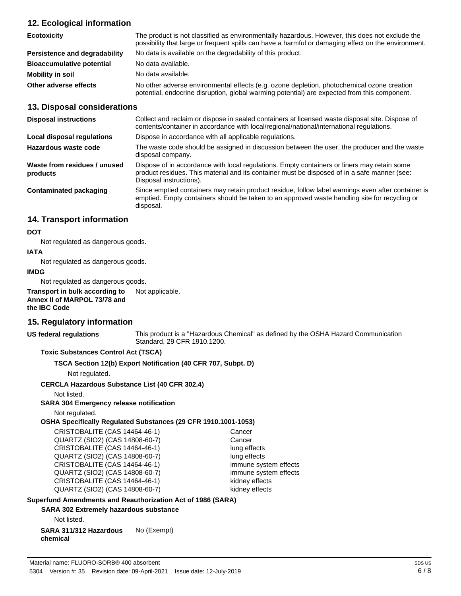## **12. Ecological information**

| <b>Ecotoxicity</b>               | The product is not classified as environmentally hazardous. However, this does not exclude the<br>possibility that large or frequent spills can have a harmful or damaging effect on the environment. |
|----------------------------------|-------------------------------------------------------------------------------------------------------------------------------------------------------------------------------------------------------|
| Persistence and degradability    | No data is available on the degradability of this product.                                                                                                                                            |
| <b>Bioaccumulative potential</b> | No data available.                                                                                                                                                                                    |
| Mobility in soil                 | No data available.                                                                                                                                                                                    |
| Other adverse effects            | No other adverse environmental effects (e.g. ozone depletion, photochemical ozone creation<br>potential, endocrine disruption, global warming potential) are expected from this component.            |

#### **13. Disposal considerations**

| <b>Disposal instructions</b>             | Collect and reclaim or dispose in sealed containers at licensed waste disposal site. Dispose of<br>contents/container in accordance with local/regional/national/international regulations.                            |
|------------------------------------------|------------------------------------------------------------------------------------------------------------------------------------------------------------------------------------------------------------------------|
| Local disposal regulations               | Dispose in accordance with all applicable regulations.                                                                                                                                                                 |
| Hazardous waste code                     | The waste code should be assigned in discussion between the user, the producer and the waste<br>disposal company.                                                                                                      |
| Waste from residues / unused<br>products | Dispose of in accordance with local regulations. Empty containers or liners may retain some<br>product residues. This material and its container must be disposed of in a safe manner (see:<br>Disposal instructions). |
| Contaminated packaging                   | Since emptied containers may retain product residue, follow label warnings even after container is<br>emptied. Empty containers should be taken to an approved waste handling site for recycling or<br>disposal.       |

## **14. Transport information**

#### **DOT**

Not regulated as dangerous goods.

#### **IATA**

Not regulated as dangerous goods.

#### **IMDG**

Not regulated as dangerous goods.

**Transport in bulk according to** Not applicable. **Annex II of MARPOL 73/78 and the IBC Code**

#### **15. Regulatory information**

**US federal regulations**

This product is a "Hazardous Chemical" as defined by the OSHA Hazard Communication Standard, 29 CFR 1910.1200.

#### **Toxic Substances Control Act (TSCA)**

**TSCA Section 12(b) Export Notification (40 CFR 707, Subpt. D)**

Not regulated.

#### **CERCLA Hazardous Substance List (40 CFR 302.4)**

Not listed.

#### **SARA 304 Emergency release notification**

Not regulated.

#### **OSHA Specifically Regulated Substances (29 CFR 1910.1001-1053)**

CRISTOBALITE (CAS 14464-46-1) Cancer<br>QUARTZ (SIO2) (CAS 14808-60-7) Cancer QUARTZ (SIO2) (CAS 14808-60-7) CRISTOBALITE (CAS 14464-46-1) lung effects QUARTZ (SIO2) (CAS 14808-60-7) lung effects CRISTOBALITE (CAS 14464-46-1) immune system effects QUARTZ (SIO2) (CAS 14808-60-7) immune system effects CRISTOBALITE (CAS 14464-46-1) kidney effects QUARTZ (SIO2) (CAS 14808-60-7) kidney effects

#### **Superfund Amendments and Reauthorization Act of 1986 (SARA)**

#### **SARA 302 Extremely hazardous substance**

Not listed.

**SARA 311/312 Hazardous** No (Exempt) **chemical**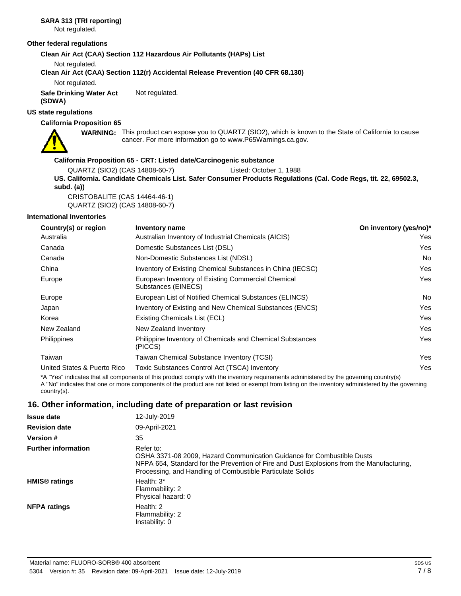## **SARA 313 (TRI reporting)**

Not regulated.

#### **Other federal regulations**

**Clean Air Act (CAA) Section 112 Hazardous Air Pollutants (HAPs) List**

Not regulated.

**Clean Air Act (CAA) Section 112(r) Accidental Release Prevention (40 CFR 68.130)**

Not regulated.

**Safe Drinking Water Act** Not regulated.

**(SDWA) US state regulations**

#### **California Proposition 65**



WARNING: This product can expose you to QUARTZ (SIO2), which is known to the State of California to cause cancer. For more information go to www.P65Warnings.ca.gov.

#### **California Proposition 65 - CRT: Listed date/Carcinogenic substance**

QUARTZ (SIO2) (CAS 14808-60-7) Listed: October 1, 1988

**US. California. Candidate Chemicals List. Safer Consumer Products Regulations (Cal. Code Regs, tit. 22, 69502.3, subd. (a))**

CRISTOBALITE (CAS 14464-46-1) QUARTZ (SIO2) (CAS 14808-60-7)

#### **International Inventories**

| Country(s) or region                                                                                                                 | <b>Inventory name</b>                                                       | On inventory (yes/no)* |  |
|--------------------------------------------------------------------------------------------------------------------------------------|-----------------------------------------------------------------------------|------------------------|--|
| Australia                                                                                                                            | Australian Inventory of Industrial Chemicals (AICIS)                        | Yes.                   |  |
| Canada                                                                                                                               | Domestic Substances List (DSL)                                              | Yes                    |  |
| Canada                                                                                                                               | Non-Domestic Substances List (NDSL)                                         | No.                    |  |
| China                                                                                                                                | Inventory of Existing Chemical Substances in China (IECSC)                  | Yes                    |  |
| Europe                                                                                                                               | European Inventory of Existing Commercial Chemical<br>Substances (EINECS)   | Yes.                   |  |
| Europe                                                                                                                               | European List of Notified Chemical Substances (ELINCS)                      | No.                    |  |
| Japan                                                                                                                                | Inventory of Existing and New Chemical Substances (ENCS)                    | Yes                    |  |
| Korea                                                                                                                                | Existing Chemicals List (ECL)                                               | Yes                    |  |
| New Zealand                                                                                                                          | New Zealand Inventory                                                       | Yes                    |  |
| <b>Philippines</b>                                                                                                                   | <b>Philippine Inventory of Chemicals and Chemical Substances</b><br>(PICCS) | Yes                    |  |
| Taiwan                                                                                                                               | Taiwan Chemical Substance Inventory (TCSI)                                  | Yes                    |  |
| United States & Puerto Rico                                                                                                          | Toxic Substances Control Act (TSCA) Inventory                               | Yes.                   |  |
| ♦▲ #V/collection that off connected at the month concluded the formation members of collection of the the more matematically and the |                                                                             |                        |  |

\*A "Yes" indicates that all components of this product comply with the inventory requirements administered by the governing country(s) A "No" indicates that one or more components of the product are not listed or exempt from listing on the inventory administered by the governing country(s).

### **16. Other information, including date of preparation or last revision**

| <b>Issue date</b>               | 12-July-2019                                                                                                                                                                                                                                   |
|---------------------------------|------------------------------------------------------------------------------------------------------------------------------------------------------------------------------------------------------------------------------------------------|
| <b>Revision date</b>            | 09-April-2021                                                                                                                                                                                                                                  |
| <b>Version #</b>                | 35                                                                                                                                                                                                                                             |
| <b>Further information</b>      | Refer to:<br>OSHA 3371-08 2009. Hazard Communication Guidance for Combustible Dusts<br>NFPA 654, Standard for the Prevention of Fire and Dust Explosions from the Manufacturing.<br>Processing, and Handling of Combustible Particulate Solids |
| <b>HMIS<sup>®</sup></b> ratings | Health: $3*$<br>Flammability: 2<br>Physical hazard: 0                                                                                                                                                                                          |
| <b>NFPA ratings</b>             | Health: $2$<br>Flammability: 2<br>Instability: 0                                                                                                                                                                                               |